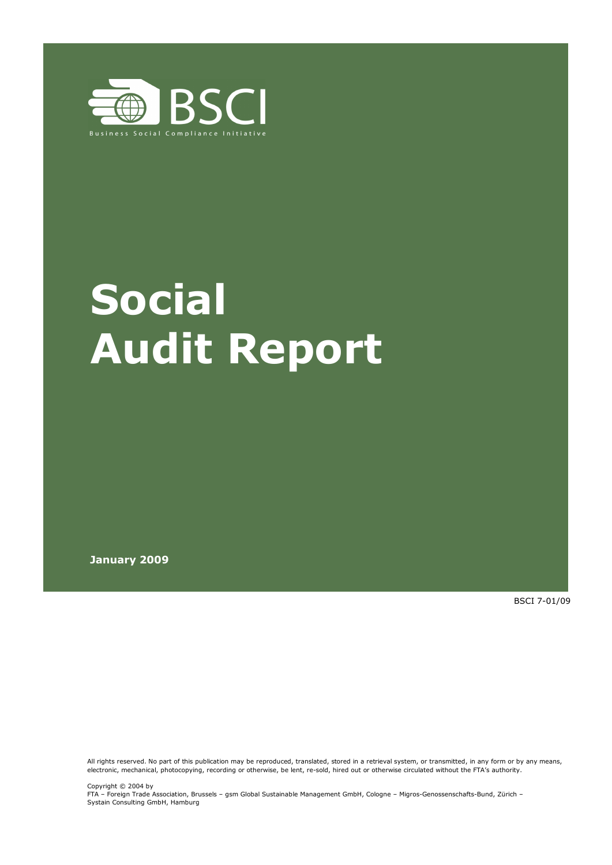

# **Social Audit Report**

**January 2009** 

BSCI 7-01/09

All rights reserved. No part of this publication may be reproduced, translated, stored in a retrieval system, or transmitted, in any form or by any means, electronic, mechanical, photocopying, recording or otherwise, be lent, re-sold, hired out or otherwise circulated without the FTA's authority.

Copyright © 2004 by FTA – Foreign Trade Association, Brussels – gsm Global Sustainable Management GmbH, Cologne – Migros-Genossenschafts-Bund, Zürich – Systain Consulting GmbH, Hamburg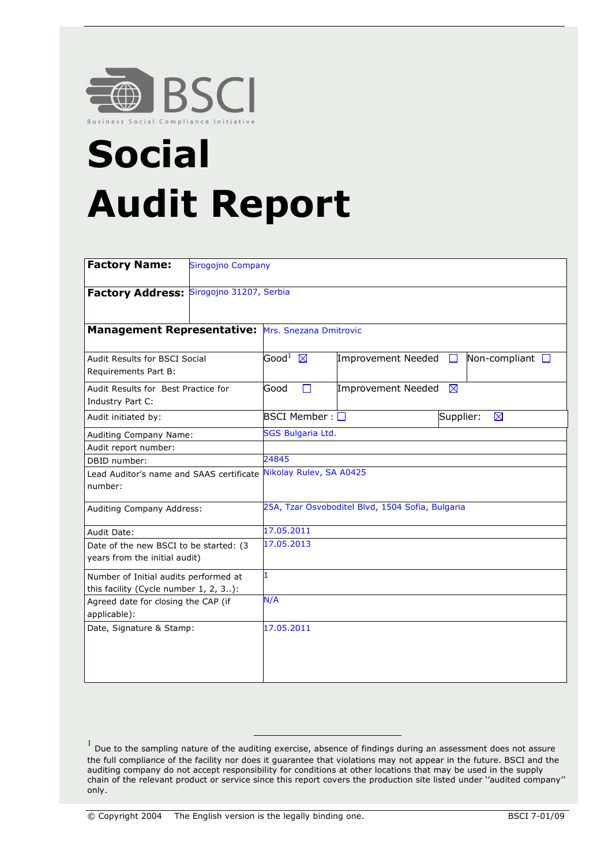

## **Social Audit Report**

| <b>Factory Name:</b><br><b>Sirogojno Company</b>                               |                              |                                                  |           |                         |
|--------------------------------------------------------------------------------|------------------------------|--------------------------------------------------|-----------|-------------------------|
| Factory Address: Sirogojno 31207, Serbia                                       |                              |                                                  |           |                         |
| Management Representative: Mrs. Snezana Dmitrovic                              |                              |                                                  |           |                         |
| Audit Results for BSCI Social<br>Requirements Part B:                          | $\mathsf{Good}^1~~\boxtimes$ | Improvement Needed                               | $\Box$    | Non-compliant $\square$ |
| Audit Results for Best Practice for<br>Industry Part C:                        | $\Box$<br>Good               | Improvement Needed                               | ⊠         |                         |
| Audit initiated by:                                                            | BSCI Member : $\Box$         |                                                  | Supplier: | ⊠                       |
| Auditing Company Name:                                                         | <b>SGS Bulgaria Ltd.</b>     |                                                  |           |                         |
| Audit report number:                                                           |                              |                                                  |           |                         |
| DBID number:                                                                   | 24845                        |                                                  |           |                         |
| Lead Auditor's name and SAAS certificate<br>number:                            | Nikolay Rulev, SA A0425      |                                                  |           |                         |
| Auditing Company Address:                                                      |                              | 25A, Tzar Osvoboditel Blvd, 1504 Sofia, Bulgaria |           |                         |
| Audit Date:                                                                    | 17.05.2011                   |                                                  |           |                         |
| Date of the new BSCI to be started: (3<br>years from the initial audit)        | 17.05.2013                   |                                                  |           |                         |
| Number of Initial audits performed at<br>this facility (Cycle number 1, 2, 3): | $\mathbf{1}$                 |                                                  |           |                         |
| Agreed date for closing the CAP (if<br>applicable):                            | N/A                          |                                                  |           |                         |
| Date, Signature & Stamp:                                                       | 17.05.2011                   |                                                  |           |                         |

<sup>&</sup>lt;sup>1</sup> Due to the sampling nature of the auditing exercise, absence of findings during an assessment does not assure the full compliance of the facility nor does it guarantee that violations may not appear in the future. BSCI and the auditing company do not accept responsibility for conditions at other locations that may be used in the supply chain of the relevant product or service since this report covers the production site listed under ''audited company'' only.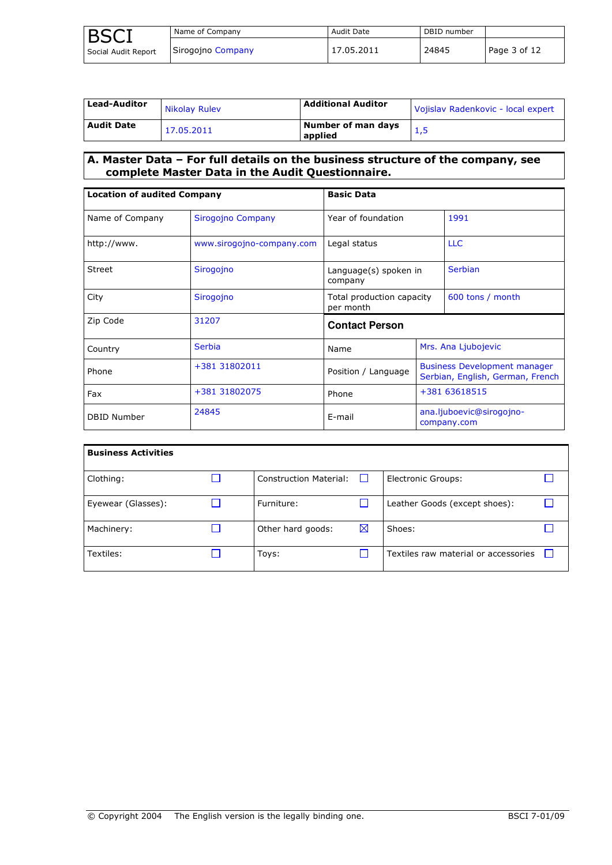| <b>BSCT</b>         | Name of Company   | Audit Date | DBID number |              |
|---------------------|-------------------|------------|-------------|--------------|
| Social Audit Report | Sirogojno Company | 17.05.2011 | 24845       | Page 3 of 12 |

| <b>Lead-Auditor</b> | Nikolay Ruley | <b>Additional Auditor</b>     | Vojislav Radenkovic - local expert |
|---------------------|---------------|-------------------------------|------------------------------------|
| <b>Audit Date</b>   | 17.05.2011    | Number of man days<br>applied |                                    |

### **A. Master Data – For full details on the business structure of the company, see complete Master Data in the Audit Questionnaire.**

| <b>Location of audited Company</b> |                           | <b>Basic Data</b>                      |  |                                                                         |  |  |
|------------------------------------|---------------------------|----------------------------------------|--|-------------------------------------------------------------------------|--|--|
| Name of Company                    | Sirogojno Company         | Year of foundation                     |  | 1991                                                                    |  |  |
| http://www.                        | www.sirogojno-company.com | Legal status                           |  | <b>LLC</b>                                                              |  |  |
| <b>Street</b>                      | Sirogojno                 | Language(s) spoken in<br>company       |  | <b>Serbian</b>                                                          |  |  |
| City                               | Sirogojno                 | Total production capacity<br>per month |  | 600 tons / month                                                        |  |  |
| Zip Code                           | 31207                     | <b>Contact Person</b>                  |  |                                                                         |  |  |
| Country                            | <b>Serbia</b>             | Name                                   |  | Mrs. Ana Ljubojevic                                                     |  |  |
| Phone                              | +381 31802011             | Position / Language                    |  | <b>Business Development manager</b><br>Serbian, English, German, French |  |  |
| Fax                                | +381 31802075             | Phone                                  |  | +381 63618515                                                           |  |  |
| <b>DBID Number</b>                 | 24845                     | E-mail                                 |  | ana.ljuboevic@sirogojno-<br>company.com                                 |  |  |

| <b>Business Activities</b> |                        |   |                                      |  |
|----------------------------|------------------------|---|--------------------------------------|--|
| Clothing:                  | Construction Material: |   | <b>Electronic Groups:</b>            |  |
| Eyewear (Glasses):         | Furniture:             |   | Leather Goods (except shoes):        |  |
| Machinery:                 | Other hard goods:      | ⊠ | Shoes:                               |  |
| Textiles:                  | Toys:                  |   | Textiles raw material or accessories |  |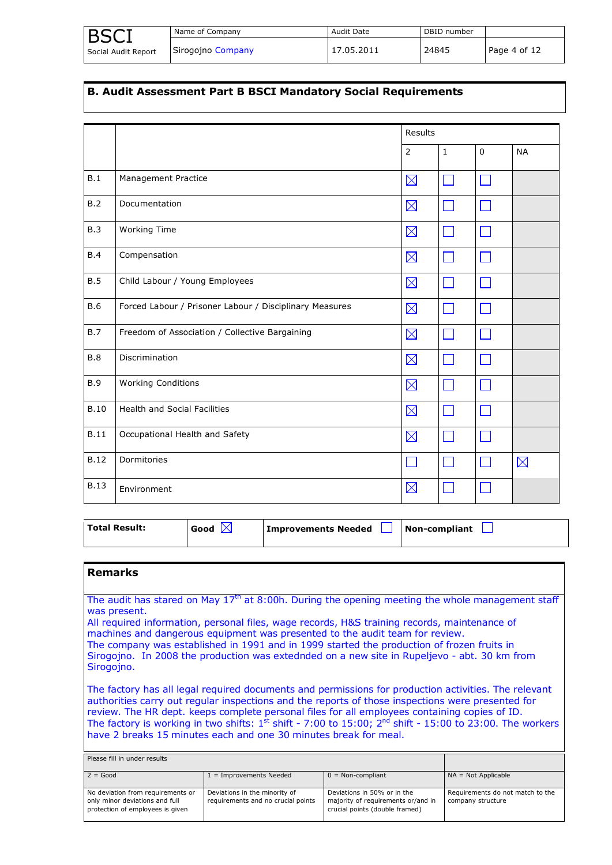|                     | Name of Company   | Audit Date | DBID number |              |
|---------------------|-------------------|------------|-------------|--------------|
| Social Audit Report | Sirogojno Company | 17.05.2011 | 24845       | Page 4 of 12 |

#### **B. Audit Assessment Part B BSCI Mandatory Social Requirements**

|             |                                                         | Results     |              |             |             |
|-------------|---------------------------------------------------------|-------------|--------------|-------------|-------------|
|             |                                                         | 2           | $\mathbf{1}$ | $\mathbf 0$ | <b>NA</b>   |
| B.1         | Management Practice                                     | $\boxtimes$ | M            |             |             |
| B.2         | Documentation                                           | $\boxtimes$ | M            |             |             |
| B.3         | <b>Working Time</b>                                     | $\boxtimes$ |              |             |             |
| B.4         | Compensation                                            | $\boxtimes$ | <b>COL</b>   |             |             |
| B.5         | Child Labour / Young Employees                          | $\boxtimes$ |              |             |             |
| <b>B.6</b>  | Forced Labour / Prisoner Labour / Disciplinary Measures | $\boxtimes$ | $\Box$       |             |             |
| <b>B.7</b>  | Freedom of Association / Collective Bargaining          | $\boxtimes$ | <b>COL</b>   |             |             |
| B.8         | <b>Discrimination</b>                                   | $\boxtimes$ | $\Box$       |             |             |
| <b>B.9</b>  | <b>Working Conditions</b>                               | $\boxtimes$ | <b>COL</b>   |             |             |
| <b>B.10</b> | <b>Health and Social Facilities</b>                     | $\boxtimes$ | $\mathbf{I}$ |             |             |
| <b>B.11</b> | Occupational Health and Safety                          | $\boxtimes$ |              |             |             |
| <b>B.12</b> | Dormitories                                             |             | n 1          |             | $\boxtimes$ |
| <b>B.13</b> | Environment                                             | $\boxtimes$ |              |             |             |

| <b>Total Result:</b> | Good | Improvements Needed | Non-compliant |
|----------------------|------|---------------------|---------------|
|                      |      |                     |               |

#### **Remarks**

The audit has stared on May  $17<sup>th</sup>$  at 8:00h. During the opening meeting the whole management staff was present.

All required information, personal files, wage records, H&S training records, maintenance of machines and dangerous equipment was presented to the audit team for review.

The company was established in 1991 and in 1999 started the production of frozen fruits in Sirogojno. In 2008 the production was extednded on a new site in Rupeljevo - abt. 30 km from Sirogojno.

The factory has all legal required documents and permissions for production activities. The relevant authorities carry out regular inspections and the reports of those inspections were presented for review. The HR dept. keeps complete personal files for all employees containing copies of ID. The factory is working in two shifts:  $1^{st}$  shift - 7:00 to 15:00;  $2^{nd}$  shift - 15:00 to 23:00. The workers have 2 breaks 15 minutes each and one 30 minutes break for meal.

| Please fill in under results                                                                            |                                                                     |                                                                                                     |                                                       |
|---------------------------------------------------------------------------------------------------------|---------------------------------------------------------------------|-----------------------------------------------------------------------------------------------------|-------------------------------------------------------|
| $2 = Good$                                                                                              | $1 =$ Improvements Needed                                           | $0 = Non-compliant$                                                                                 | $NA = Not Applicable$                                 |
| No deviation from requirements or<br>only minor deviations and full<br>protection of employees is given | Deviations in the minority of<br>requirements and no crucial points | Deviations in 50% or in the<br>majority of requirements or/and in<br>crucial points (double framed) | Requirements do not match to the<br>company structure |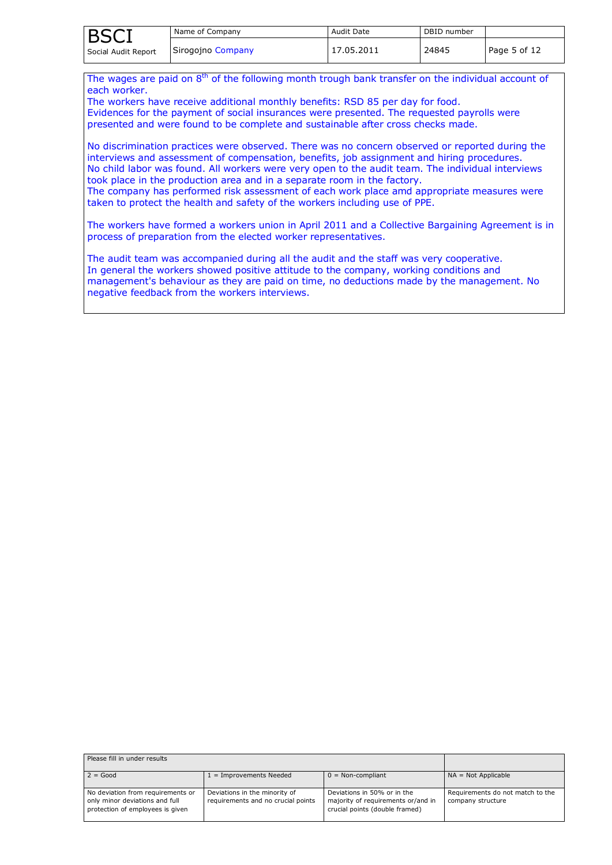| <b>BSCI</b>         | Name of Company   | Audit Date | DBID number |              |
|---------------------|-------------------|------------|-------------|--------------|
| Social Audit Report | Sirogojno Company | 17.05.2011 | 24845       | Page 5 of 12 |

The wages are paid on  $8<sup>th</sup>$  of the following month trough bank transfer on the individual account of each worker.

The workers have receive additional monthly benefits: RSD 85 per day for food. Evidences for the payment of social insurances were presented. The requested payrolls were presented and were found to be complete and sustainable after cross checks made.

No discrimination practices were observed. There was no concern observed or reported during the interviews and assessment of compensation, benefits, job assignment and hiring procedures. No child labor was found. All workers were very open to the audit team. The individual interviews took place in the production area and in a separate room in the factory. The company has performed risk assessment of each work place amd appropriate measures were taken to protect the health and safety of the workers including use of PPE.

The workers have formed a workers union in April 2011 and a Collective Bargaining Agreement is in process of preparation from the elected worker representatives.

The audit team was accompanied during all the audit and the staff was very cooperative. In general the workers showed positive attitude to the company, working conditions and management's behaviour as they are paid on time, no deductions made by the management. No negative feedback from the workers interviews.

| Please fill in under results                                                                            |                                                                     |                                                                                                     |                                                       |
|---------------------------------------------------------------------------------------------------------|---------------------------------------------------------------------|-----------------------------------------------------------------------------------------------------|-------------------------------------------------------|
| $2 = Good$                                                                                              | $1 =$ Improvements Needed                                           | $0 = \text{Non-compliant}$                                                                          | $NA = Not Applicable$                                 |
| No deviation from requirements or<br>only minor deviations and full<br>protection of employees is given | Deviations in the minority of<br>requirements and no crucial points | Deviations in 50% or in the<br>majority of requirements or/and in<br>crucial points (double framed) | Requirements do not match to the<br>company structure |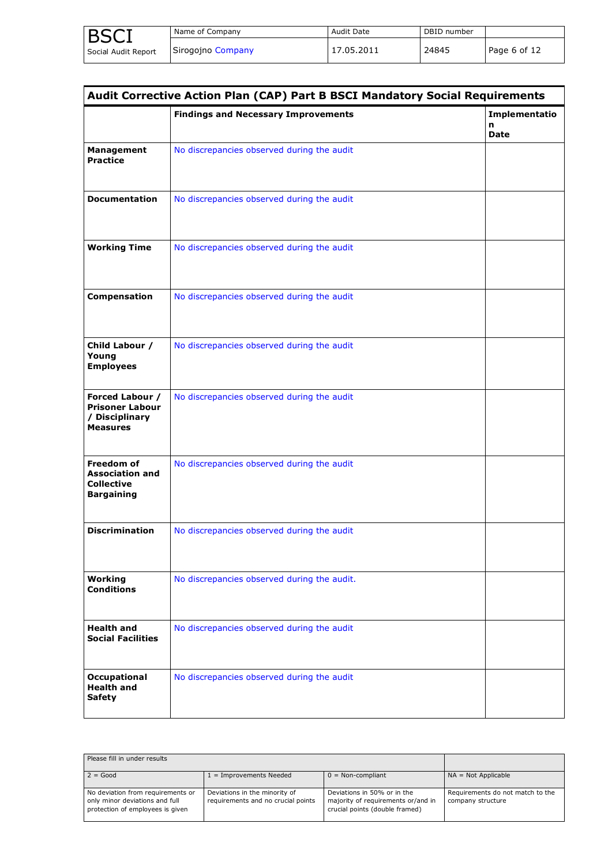| <b>BSCI</b>         | Name of Company   | Audit Date | DBID number |              |
|---------------------|-------------------|------------|-------------|--------------|
| Social Audit Report | Sirogojno Company | 17.05.2011 | 24845       | Page 6 of 12 |

| <b>Audit Corrective Action Plan (CAP) Part B BSCI Mandatory Social Requirements</b> |                                             |                  |  |
|-------------------------------------------------------------------------------------|---------------------------------------------|------------------|--|
|                                                                                     | <b>Findings and Necessary Improvements</b>  | Implementatio    |  |
|                                                                                     |                                             | n<br><b>Date</b> |  |
| <b>Management</b><br><b>Practice</b>                                                | No discrepancies observed during the audit  |                  |  |
| <b>Documentation</b>                                                                | No discrepancies observed during the audit  |                  |  |
| <b>Working Time</b>                                                                 | No discrepancies observed during the audit  |                  |  |
| <b>Compensation</b>                                                                 | No discrepancies observed during the audit  |                  |  |
| Child Labour /<br>Young<br><b>Employees</b>                                         | No discrepancies observed during the audit  |                  |  |
| Forced Labour /<br><b>Prisoner Labour</b><br>/ Disciplinary<br><b>Measures</b>      | No discrepancies observed during the audit  |                  |  |
| Freedom of<br><b>Association and</b><br><b>Collective</b><br><b>Bargaining</b>      | No discrepancies observed during the audit  |                  |  |
| <b>Discrimination</b>                                                               | No discrepancies observed during the audit  |                  |  |
| Working<br><b>Conditions</b>                                                        | No discrepancies observed during the audit. |                  |  |
| <b>Health and</b><br><b>Social Facilities</b>                                       | No discrepancies observed during the audit  |                  |  |
| <b>Occupational</b><br><b>Health and</b><br><b>Safety</b>                           | No discrepancies observed during the audit  |                  |  |

| Please fill in under results                                                                            |                                                                     |                                                                                                     |                                                       |
|---------------------------------------------------------------------------------------------------------|---------------------------------------------------------------------|-----------------------------------------------------------------------------------------------------|-------------------------------------------------------|
| $2 = Good$                                                                                              | $1 =$ Improvements Needed                                           | $0 = \text{Non-compliant}$                                                                          | $NA = Not Applicable$                                 |
| No deviation from requirements or<br>only minor deviations and full<br>protection of employees is given | Deviations in the minority of<br>requirements and no crucial points | Deviations in 50% or in the<br>majority of requirements or/and in<br>crucial points (double framed) | Requirements do not match to the<br>company structure |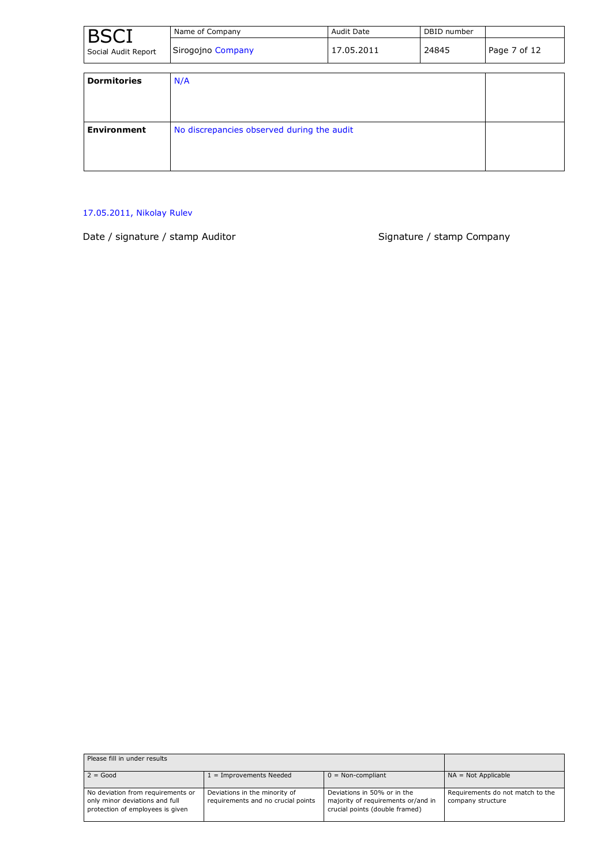| <b>BSCI</b>         | Name of Company                            | <b>Audit Date</b> | DBID number |              |
|---------------------|--------------------------------------------|-------------------|-------------|--------------|
| Social Audit Report | Sirogojno Company                          | 17.05.2011        | 24845       | Page 7 of 12 |
| <b>Dormitories</b>  | N/A                                        |                   |             |              |
| <b>Environment</b>  | No discrepancies observed during the audit |                   |             |              |

#### 17.05.2011, Nikolay Rulev

Date / signature / stamp Auditor Signature / stamp Company

| Please fill in under results                                                                            |                                                                     |                                                                                                     |                                                       |
|---------------------------------------------------------------------------------------------------------|---------------------------------------------------------------------|-----------------------------------------------------------------------------------------------------|-------------------------------------------------------|
| $2 = Good$                                                                                              | $1 =$ Improvements Needed                                           | $0 = \text{Non-compliant}$                                                                          | $NA = Not Applicable$                                 |
| No deviation from requirements or<br>only minor deviations and full<br>protection of employees is given | Deviations in the minority of<br>requirements and no crucial points | Deviations in 50% or in the<br>majority of requirements or/and in<br>crucial points (double framed) | Requirements do not match to the<br>company structure |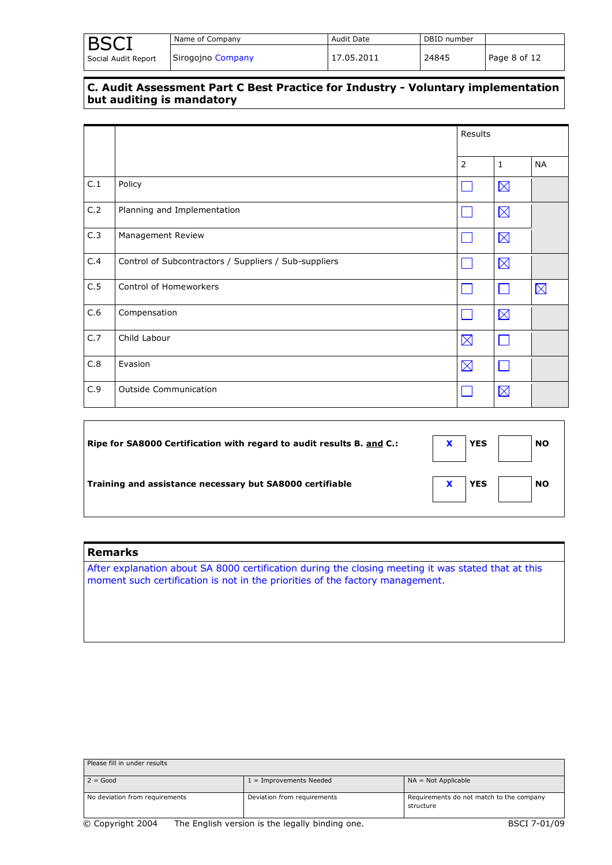|                     | Name of Company   | Audit Date | DBID number |              |
|---------------------|-------------------|------------|-------------|--------------|
| Social Audit Report | Sirogojno Company | 17.05.2011 | 24845       | Page 8 of 12 |

#### **C. Audit Assessment Part C Best Practice for Industry - Voluntary implementation but auditing is mandatory**

|     |                                                       |                | Results      |             |  |
|-----|-------------------------------------------------------|----------------|--------------|-------------|--|
|     |                                                       | $\overline{2}$ | $\mathbf{1}$ | <b>NA</b>   |  |
| C.1 | Policy                                                |                | $\boxtimes$  |             |  |
| C.2 | Planning and Implementation                           |                | $\boxtimes$  |             |  |
| C.3 | Management Review                                     |                | $\boxtimes$  |             |  |
| C.4 | Control of Subcontractors / Suppliers / Sub-suppliers |                | $\boxtimes$  |             |  |
| C.5 | Control of Homeworkers                                |                |              | $\boxtimes$ |  |
| C.6 | Compensation                                          |                | $\boxtimes$  |             |  |
| C.7 | Child Labour                                          | $\boxtimes$    |              |             |  |
| C.8 | Evasion                                               | $\boxtimes$    |              |             |  |
| C.9 | <b>Outside Communication</b>                          |                | $\boxtimes$  |             |  |

| Ripe for SA8000 Certification with regard to audit results B. and C.: | <b>NO</b><br><b>YES</b> |
|-----------------------------------------------------------------------|-------------------------|
| Training and assistance necessary but SA8000 certifiable              | <b>NO</b><br><b>YES</b> |

#### **Remarks**

After explanation about SA 8000 certification during the closing meeting it was stated that at this moment such certification is not in the priorities of the factory management.

| Please fill in under results   |                             |                                                       |
|--------------------------------|-----------------------------|-------------------------------------------------------|
| $2 = Good$                     | $1 =$ Improvements Needed   | $NA = Not Applicable$                                 |
| No deviation from requirements | Deviation from requirements | Requirements do not match to the company<br>structure |
| .<br>.                         | .<br>. .                    |                                                       |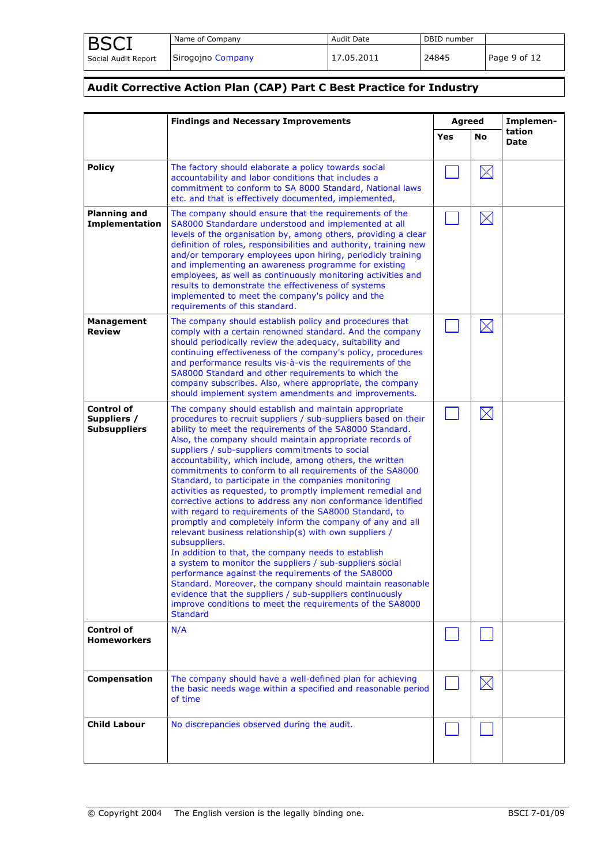| <b>BSCI</b>         | Name of Company   | <b>Audit Date</b> | DBID number |              |
|---------------------|-------------------|-------------------|-------------|--------------|
| Social Audit Report | Sirogojno Company | 17.05.2011        | 24845       | Page 9 of 12 |

## **Audit Corrective Action Plan (CAP) Part C Best Practice for Industry**

|                                                         | <b>Findings and Necessary Improvements</b>                                                                                                                                                                                                                                                                                                                                                                                                                                                                                                                                                                                                                                                                                                                                                                                                                                                                                                                                                                                                                                                                                                                                                             |     | <b>Agreed</b> | Implemen-             |
|---------------------------------------------------------|--------------------------------------------------------------------------------------------------------------------------------------------------------------------------------------------------------------------------------------------------------------------------------------------------------------------------------------------------------------------------------------------------------------------------------------------------------------------------------------------------------------------------------------------------------------------------------------------------------------------------------------------------------------------------------------------------------------------------------------------------------------------------------------------------------------------------------------------------------------------------------------------------------------------------------------------------------------------------------------------------------------------------------------------------------------------------------------------------------------------------------------------------------------------------------------------------------|-----|---------------|-----------------------|
|                                                         |                                                                                                                                                                                                                                                                                                                                                                                                                                                                                                                                                                                                                                                                                                                                                                                                                                                                                                                                                                                                                                                                                                                                                                                                        | Yes | No            | tation<br><b>Date</b> |
| <b>Policy</b>                                           | The factory should elaborate a policy towards social<br>accountability and labor conditions that includes a<br>commitment to conform to SA 8000 Standard, National laws<br>etc. and that is effectively documented, implemented,                                                                                                                                                                                                                                                                                                                                                                                                                                                                                                                                                                                                                                                                                                                                                                                                                                                                                                                                                                       |     |               |                       |
| <b>Planning and</b><br><b>Implementation</b>            | The company should ensure that the requirements of the<br>SA8000 Standardare understood and implemented at all<br>levels of the organisation by, among others, providing a clear<br>definition of roles, responsibilities and authority, training new<br>and/or temporary employees upon hiring, periodicly training<br>and implementing an awareness programme for existing<br>employees, as well as continuously monitoring activities and<br>results to demonstrate the effectiveness of systems<br>implemented to meet the company's policy and the<br>requirements of this standard.                                                                                                                                                                                                                                                                                                                                                                                                                                                                                                                                                                                                              |     | $\boxtimes$   |                       |
| Management<br><b>Review</b>                             | The company should establish policy and procedures that<br>comply with a certain renowned standard. And the company<br>should periodically review the adequacy, suitability and<br>continuing effectiveness of the company's policy, procedures<br>and performance results vis-à-vis the requirements of the<br>SA8000 Standard and other requirements to which the<br>company subscribes. Also, where appropriate, the company<br>should implement system amendments and improvements.                                                                                                                                                                                                                                                                                                                                                                                                                                                                                                                                                                                                                                                                                                                |     | $\boxtimes$   |                       |
| <b>Control of</b><br>Suppliers /<br><b>Subsuppliers</b> | The company should establish and maintain appropriate<br>procedures to recruit suppliers / sub-suppliers based on their<br>ability to meet the requirements of the SA8000 Standard.<br>Also, the company should maintain appropriate records of<br>suppliers / sub-suppliers commitments to social<br>accountability, which include, among others, the written<br>commitments to conform to all requirements of the SA8000<br>Standard, to participate in the companies monitoring<br>activities as requested, to promptly implement remedial and<br>corrective actions to address any non conformance identified<br>with regard to requirements of the SA8000 Standard, to<br>promptly and completely inform the company of any and all<br>relevant business relationship(s) with own suppliers /<br>subsuppliers.<br>In addition to that, the company needs to establish<br>a system to monitor the suppliers / sub-suppliers social<br>performance against the requirements of the SA8000<br>Standard. Moreover, the company should maintain reasonable<br>evidence that the suppliers / sub-suppliers continuously<br>improve conditions to meet the requirements of the SA8000<br><b>Standard</b> |     | $\boxtimes$   |                       |
| <b>Control of</b><br><b>Homeworkers</b>                 | N/A                                                                                                                                                                                                                                                                                                                                                                                                                                                                                                                                                                                                                                                                                                                                                                                                                                                                                                                                                                                                                                                                                                                                                                                                    |     |               |                       |
| Compensation                                            | The company should have a well-defined plan for achieving<br>the basic needs wage within a specified and reasonable period<br>of time                                                                                                                                                                                                                                                                                                                                                                                                                                                                                                                                                                                                                                                                                                                                                                                                                                                                                                                                                                                                                                                                  |     | $\boxtimes$   |                       |
| <b>Child Labour</b>                                     | No discrepancies observed during the audit.                                                                                                                                                                                                                                                                                                                                                                                                                                                                                                                                                                                                                                                                                                                                                                                                                                                                                                                                                                                                                                                                                                                                                            |     |               |                       |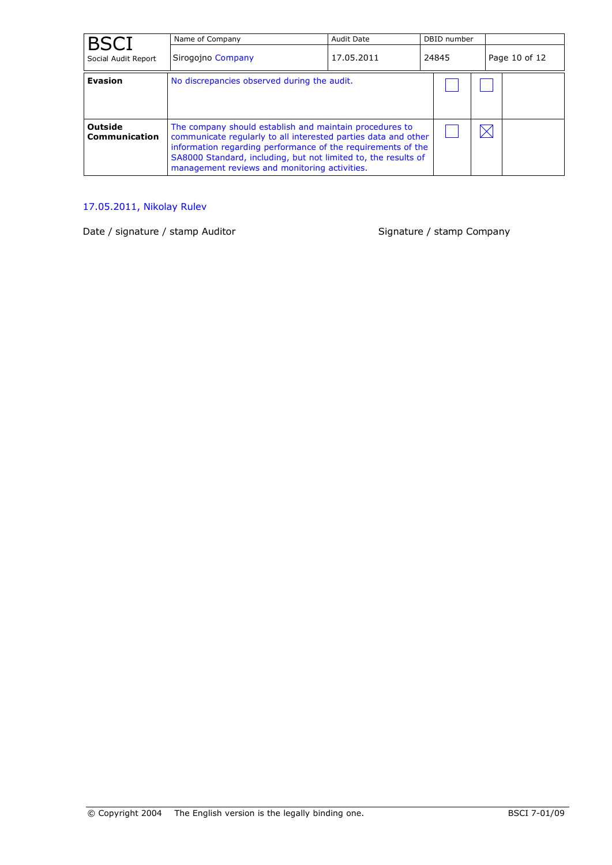| <b>BSCI</b>              | Name of Company                                                                                                                                                                                                                                                                                              | <b>Audit Date</b> | DBID number |               |
|--------------------------|--------------------------------------------------------------------------------------------------------------------------------------------------------------------------------------------------------------------------------------------------------------------------------------------------------------|-------------------|-------------|---------------|
| Social Audit Report      | Sirogojno Company                                                                                                                                                                                                                                                                                            | 17.05.2011        | 24845       | Page 10 of 12 |
| <b>Evasion</b>           | No discrepancies observed during the audit.                                                                                                                                                                                                                                                                  |                   |             |               |
| Outside<br>Communication | The company should establish and maintain procedures to<br>communicate regularly to all interested parties data and other<br>information regarding performance of the requirements of the<br>SA8000 Standard, including, but not limited to, the results of<br>management reviews and monitoring activities. |                   |             |               |

## 17.05.2011, Nikolay Rulev

Date / signature / stamp Auditor Signature / stamp Company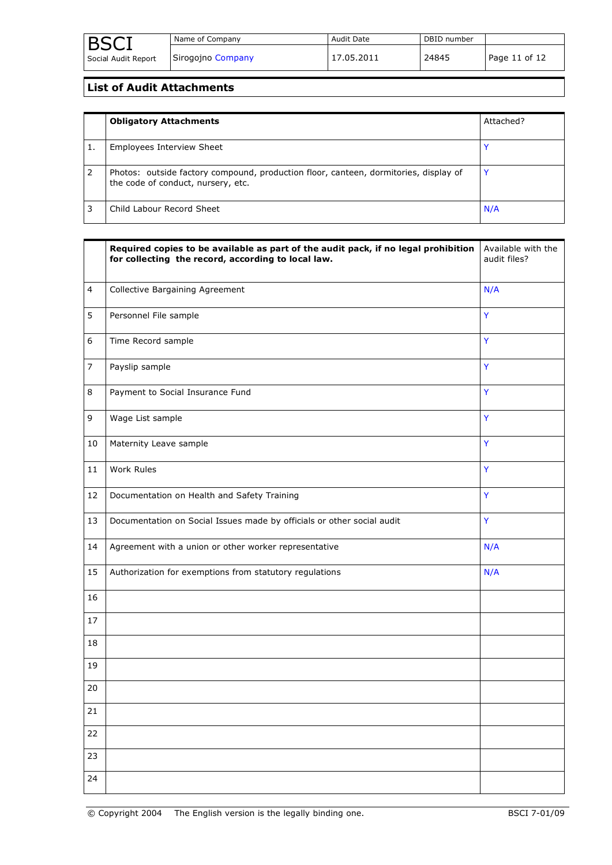## **List of Audit Attachments**

| <b>Obligatory Attachments</b>                                                                                              | Attached? |
|----------------------------------------------------------------------------------------------------------------------------|-----------|
| Employees Interview Sheet                                                                                                  |           |
| Photos: outside factory compound, production floor, canteen, dormitories, display of<br>the code of conduct, nursery, etc. |           |
| Child Labour Record Sheet                                                                                                  | N/A       |

|                | Required copies to be available as part of the audit pack, if no legal prohibition<br>for collecting the record, according to local law. | Available with the<br>audit files? |
|----------------|------------------------------------------------------------------------------------------------------------------------------------------|------------------------------------|
| 4              | Collective Bargaining Agreement                                                                                                          | N/A                                |
| 5              | Personnel File sample                                                                                                                    | Y                                  |
| 6              | Time Record sample                                                                                                                       | Ÿ                                  |
| $\overline{7}$ | Payslip sample                                                                                                                           | Y                                  |
| 8              | Payment to Social Insurance Fund                                                                                                         | Y                                  |
| 9              | Wage List sample                                                                                                                         | Ÿ                                  |
| 10             | Maternity Leave sample                                                                                                                   | Y                                  |
| 11             | Work Rules                                                                                                                               | Y                                  |
| 12             | Documentation on Health and Safety Training                                                                                              | Ÿ                                  |
| 13             | Documentation on Social Issues made by officials or other social audit                                                                   | Y                                  |
| 14             | Agreement with a union or other worker representative                                                                                    | N/A                                |
| 15             | Authorization for exemptions from statutory regulations                                                                                  | N/A                                |
| 16             |                                                                                                                                          |                                    |
| 17             |                                                                                                                                          |                                    |
| 18             |                                                                                                                                          |                                    |
| 19             |                                                                                                                                          |                                    |
| 20             |                                                                                                                                          |                                    |
| 21             |                                                                                                                                          |                                    |
| 22             |                                                                                                                                          |                                    |
| 23             |                                                                                                                                          |                                    |
| 24             |                                                                                                                                          |                                    |